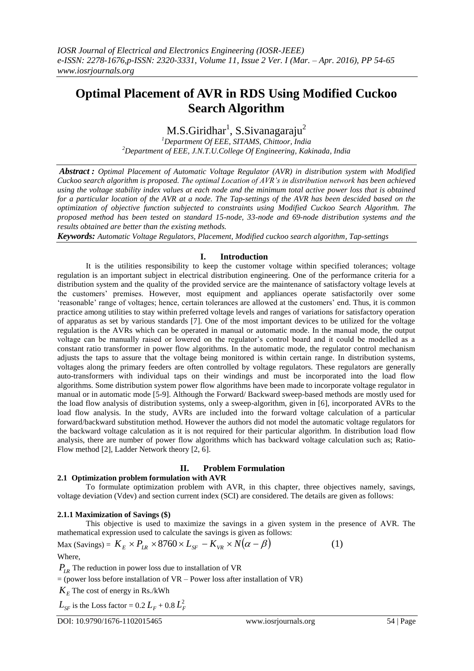# **Optimal Placement of AVR in RDS Using Modified Cuckoo Search Algorithm**

M.S.Giridhar<sup>1</sup>, S.Sivanagaraju<sup>2</sup>

*<sup>1</sup>Department Of EEE, SITAMS, Chittoor, India <sup>2</sup>Department of EEE, J.N.T.U.College Of Engineering, Kakinada, India*

*Abstract : Optimal Placement of Automatic Voltage Regulator (AVR) in distribution system with Modified Cuckoo search algorithm is proposed. The optimal Location of AVR's in distribution network has been achieved using the voltage stability index values at each node and the minimum total active power loss that is obtained for a particular location of the AVR at a node. The Tap-settings of the AVR has been descided based on the optimization of objective function subjected to constraints using Modified Cuckoo Search Algorithm. The proposed method has been tested on standard 15-node, 33-node and 69-node distribution systems and the results obtained are better than the existing methods.*

*Keywords: Automatic Voltage Regulators, Placement, Modified cuckoo search algorithm, Tap-settings*

## **I. Introduction**

It is the utilities responsibility to keep the customer voltage within specified tolerances; voltage regulation is an important subject in electrical distribution engineering. One of the performance criteria for a distribution system and the quality of the provided service are the maintenance of satisfactory voltage levels at the customers" premises. However, most equipment and appliances operate satisfactorily over some "reasonable" range of voltages; hence, certain tolerances are allowed at the customers" end. Thus, it is common practice among utilities to stay within preferred voltage levels and ranges of variations for satisfactory operation of apparatus as set by various standards [7]. One of the most important devices to be utilized for the voltage regulation is the AVRs which can be operated in manual or automatic mode. In the manual mode, the output voltage can be manually raised or lowered on the regulator's control board and it could be modelled as a constant ratio transformer in power flow algorithms. In the automatic mode, the regulator control mechanism adjusts the taps to assure that the voltage being monitored is within certain range. In distribution systems, voltages along the primary feeders are often controlled by voltage regulators. These regulators are generally auto-transformers with individual taps on their windings and must be incorporated into the load flow algorithms. Some distribution system power flow algorithms have been made to incorporate voltage regulator in manual or in automatic mode [5-9]. Although the Forward/ Backward sweep-based methods are mostly used for the load flow analysis of distribution systems, only a sweep-algorithm, given in [6], incorporated AVRs to the load flow analysis. In the study, AVRs are included into the forward voltage calculation of a particular forward/backward substitution method. However the authors did not model the automatic voltage regulators for the backward voltage calculation as it is not required for their particular algorithm. In distribution load flow analysis, there are number of power flow algorithms which has backward voltage calculation such as; Ratio-Flow method [2], Ladder Network theory [2, 6].

## **II. Problem Formulation**

## **2.1 Optimization problem formulation with AVR**

To formulate optimization problem with AVR, in this chapter, three objectives namely, savings, voltage deviation (Vdev) and section current index (SCI) are considered. The details are given as follows:

## **2.1.1 Maximization of Savings (\$)**

This objective is used to maximize the savings in a given system in the presence of AVR. The mathematical expression used to calculate the savings is given as follows:

$$
\text{Max (Savings)} = K_E \times P_{LR} \times 8760 \times L_{SF} - K_{VR} \times N(\alpha - \beta) \tag{1}
$$
\n
$$
\text{Where,}
$$

*PLR* The reduction in power loss due to installation of VR

 $=$  (power loss before installation of  $VR$  – Power loss after installation of  $VR$ )

 $K_E$  The cost of energy in Rs./kWh

 $L_{SF}$  is the Loss factor = 0.2  $L_F$  + 0.8  $L_F^2$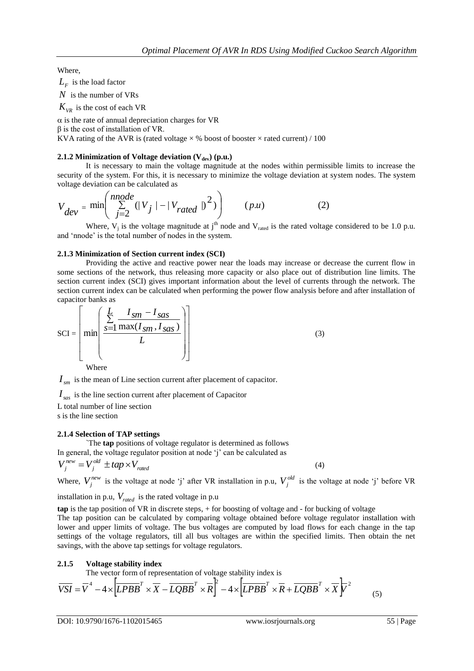Where,

 $L_F$  is the load factor

*N* is the number of VRs

 $K_{VR}$  is the cost of each VR

 $\alpha$  is the rate of annual depreciation charges for VR

 $β$  is the cost of installation of VR.

KVA rating of the AVR is (rated voltage  $\times$  % boost of booster  $\times$  rated current) / 100

## **2.1.2 Minimization of Voltage deviation (Vdev) (p.u.)**

It is necessary to main the voltage magnitude at the nodes within permissible limits to increase the security of the system. For this, it is necessary to minimize the voltage deviation at system nodes. The system voltage deviation can be calculated as

$$
V_{dev} = \min\left(\sum_{j=2}^{nnode} (|V_j| - |V_{rated}|)^2)\right) \qquad (p.u)
$$
 (2)

Where,  $V_j$  is the voltage magnitude at  $j<sup>th</sup>$  node and  $V_{rad}$  is the rated voltage considered to be 1.0 p.u. and 'nnode' is the total number of nodes in the system.

## **2.1.3 Minimization of Section current index (SCI)**

Providing the active and reactive power near the loads may increase or decrease the current flow in some sections of the network, thus releasing more capacity or also place out of distribution line limits. The section current index (SCI) gives important information about the level of currents through the network. The section current index can be calculated when performing the power flow analysis before and after installation of capacitor banks as

$$
SCI = \left[ min \left( \frac{\sum_{s=1}^{L} \frac{I_{sm} - I_{sas}}{I_{sm} + I_{sas}}}{L} \right) \right]
$$
(3)

Where

 $I_{sm}$  is the mean of Line section current after placement of capacitor.

*sas I* is the line section current after placement of Capacitor

L total number of line section

s is the line section

## **2.1.4 Selection of TAP settings**

`The **tap** positions of voltage regulator is determined as follows In general, the voltage regulator position at node  $\gamma$  can be calculated as

$$
V_j^{new} = V_j^{old} \pm tap \times V_{rated}
$$

Where,  $V_j^{new}$  is the voltage at node 'j' after VR installation in p.u,  $V_j^{old}$  is the voltage at node 'j' before VR

installation in p.u,  $V_{\text{rated}}$  is the rated voltage in p.u

**tap** is the tap position of VR in discrete steps, + for boosting of voltage and - for bucking of voltage

The tap position can be calculated by comparing voltage obtained before voltage regulator installation with lower and upper limits of voltage. The bus voltages are computed by load flows for each change in the tap settings of the voltage regulators, till all bus voltages are within the specified limits. Then obtain the net savings, with the above tap settings for voltage regulators.

## **2.1.5 Voltage stability index**

The vector form of representation of voltage stability index is

$$
\overline{VSI} = \overline{V}^4 - 4 \times \left[ \overline{LPBB}^T \times \overline{X} - \overline{LQBB}^T \times \overline{R} \right] - 4 \times \left[ \overline{LPBB}^T \times \overline{R} + \overline{LQBB}^T \times \overline{X} \right] \overline{V}^2 \tag{5}
$$

(4)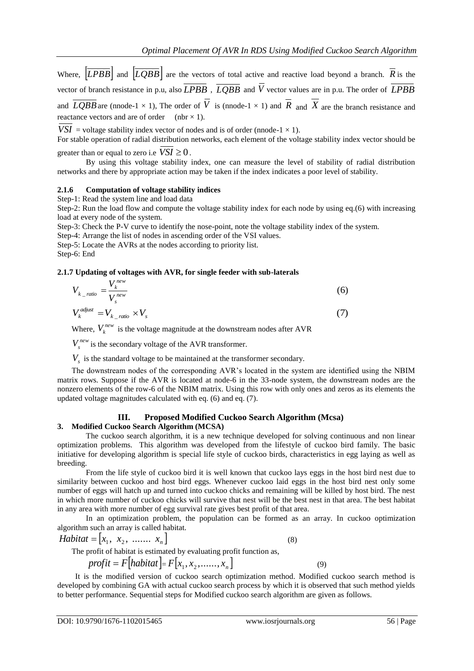Where,  $|LPBB|$  and  $|LQBB|$  are the vectors of total active and reactive load beyond a branch. R is the vector of branch resistance in p.u, also *LPBB* , *LQBB* and *V* vector values are in p.u. The order of *LPBB* and *LQBB* are (nnode-1  $\times$  1), The order of V is (nnode-1  $\times$  1) and R and X are the branch resistance and reactance vectors and are of order (nbr  $\times$  1).

*VSI* = voltage stability index vector of nodes and is of order (nnode-1  $\times$  1).

For stable operation of radial distribution networks, each element of the voltage stability index vector should be greater than or equal to zero i.e  $VSI \geq 0$ .

 By using this voltage stability index, one can measure the level of stability of radial distribution networks and there by appropriate action may be taken if the index indicates a poor level of stability.

#### **2.1.6 Computation of voltage stability indices**

Step-1: Read the system line and load data

Step-2: Run the load flow and compute the voltage stability index for each node by using eq.(6) with increasing load at every node of the system.

Step-3: Check the P-V curve to identify the nose-point, note the voltage stability index of the system.

Step-4: Arrange the list of nodes in ascending order of the VSI values.

Step-5: Locate the AVRs at the nodes according to priority list.

Step-6: End

## **2.1.7 Updating of voltages with AVR, for single feeder with sub-laterals**

$$
V_{k\_ratio} = \frac{V_k^{new}}{V_s^{new}}
$$
 (6)

$$
V_k^{adjust} = V_{k\_ratio} \times V_s \tag{7}
$$

Where,  $V_k^{new}$  is the voltage magnitude at the downstream nodes after AVR

 $V_s^{new}$  is the secondary voltage of the AVR transformer.

 $V<sub>s</sub>$  is the standard voltage to be maintained at the transformer secondary.

The downstream nodes of the corresponding AVR"s located in the system are identified using the NBIM matrix rows. Suppose if the AVR is located at node-6 in the 33-node system, the downstream nodes are the nonzero elements of the row-6 of the NBIM matrix. Using this row with only ones and zeros as its elements the updated voltage magnitudes calculated with eq. (6) and eq. (7).

## **III. Proposed Modified Cuckoo Search Algorithm (Mcsa)**

#### **3. Modified Cuckoo Search Algorithm (MCSA)**

The cuckoo search algorithm, it is a new technique developed for solving continuous and non linear optimization problems. This algorithm was developed from the lifestyle of cuckoo bird family. The basic initiative for developing algorithm is special life style of cuckoo birds, characteristics in egg laying as well as breeding.

From the life style of cuckoo bird it is well known that cuckoo lays eggs in the host bird nest due to similarity between cuckoo and host bird eggs. Whenever cuckoo laid eggs in the host bird nest only some number of eggs will hatch up and turned into cuckoo chicks and remaining will be killed by host bird. The nest in which more number of cuckoo chicks will survive that nest will be the best nest in that area. The best habitat in any area with more number of egg survival rate gives best profit of that area.

In an optimization problem, the population can be formed as an array. In cuckoo optimization algorithm such an array is called habitat.

*Habitat* = 
$$
[x_1, x_2, \dots, x_n]
$$
 (8)

The profit of habitat is estimated by evaluating profit function as,

$$
profit = F[habitat] = F[x_1, x_2, \dots, x_n]
$$

 It is the modified version of cuckoo search optimization method. Modified cuckoo search method is developed by combining GA with actual cuckoo search process by which it is observed that such method yields to better performance. Sequential steps for Modified cuckoo search algorithm are given as follows.

(9)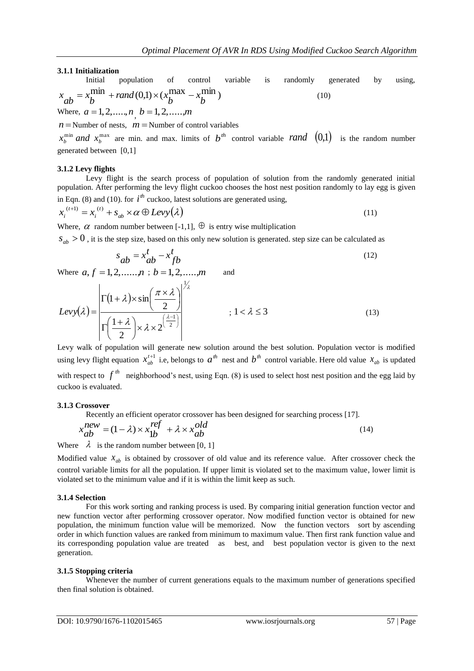## **3.1.1 Initialization**

Initial population of control variable is randomly generated by using,  $\min_{\mathbf{k}}$  + rand (0,1)  $\times$  ( $x_k^{\text{max}}$  –  $x_k^{\text{min}}$ )  $x_{ab} = x_b^{\text{Hilln}} + \text{rand}(0,1) \times (x_b^{\text{Hilax}} - x_b^{\text{Hilln}})$  (10) Where,  $a = 1, 2, \dots, n, b = 1, 2, \dots, m$ 

 $n =$  Number of nests,  $m =$  Number of control variables

 $^{\min}$  and  $x^{\max}$  $x_b^{\min}$  *and*  $x_b^{\max}$  are min. and max. limits of  $b^{\text{th}}$  control variable *rand*  $(0,1)$  is the random number generated between [0,1]

## **3.1.2 Levy flights**

Levy flight is the search process of population of solution from the randomly generated initial population. After performing the levy flight cuckoo chooses the host nest position randomly to lay egg is given in Eqn. (8) and (10). for  $i^{th}$  cuckoo, latest solutions are generated using,

$$
x_i^{(t+1)} = x_i^{(t)} + s_{ab} \times \alpha \oplus Levy(\lambda)
$$
\n(11)

Where,  $\alpha$  random number between [-1,1],  $\oplus$  is entry wise multiplication

 $s_{ab} > 0$ , it is the step size, based on this only new solution is generated. step size can be calculated as

$$
s_{ab} = x_{ab}^t - x_{fb}^t \tag{12}
$$

Where  $a, f = 1, 2, \dots, n$ ;  $b = 1, 2, \dots, m$  and

$$
Levy(\lambda) = \frac{\left|\Gamma(1+\lambda)\times\sin\left(\frac{\pi\times\lambda}{2}\right)\right|^{\frac{1}{\lambda}}}{\Gamma\left(\frac{1+\lambda}{2}\right)\times\lambda\times2^{\left(\frac{\lambda-1}{2}\right)}}; 1 < \lambda \le 3
$$
\n(13)

Levy walk of population will generate new solution around the best solution. Population vector is modified using levy flight equation  $x_{ab}^{t+1}$  i.e, belongs to  $a^{th}$  nest and  $b^{th}$  control variable. Here old value  $x_{ab}$  is updated with respect to  $f^{th}$  neighborhood's nest, using Eqn. (8) is used to select host nest position and the egg laid by cuckoo is evaluated.

## **3.1.3 Crossover**

Recently an efficient operator crossover has been designed for searching process [17].

$$
x_{ab}^{new} = (1 - \lambda) \times x_{1b}^{ref} + \lambda \times x_{ab}^{old}
$$
 (14)

Where  $\lambda$  is the random number between [0, 1]

Modified value  $x_{ab}$  is obtained by crossover of old value and its reference value. After crossover check the control variable limits for all the population. If upper limit is violated set to the maximum value, lower limit is violated set to the minimum value and if it is within the limit keep as such.

## **3.1.4 Selection**

For this work sorting and ranking process is used. By comparing initial generation function vector and new function vector after performing crossover operator. Now modified function vector is obtained for new population, the minimum function value will be memorized. Now the function vectors sort by ascending order in which function values are ranked from minimum to maximum value. Then first rank function value and its corresponding population value are treated as best, and best population vector is given to the next generation.

## **3.1.5 Stopping criteria**

Whenever the number of current generations equals to the maximum number of generations specified then final solution is obtained.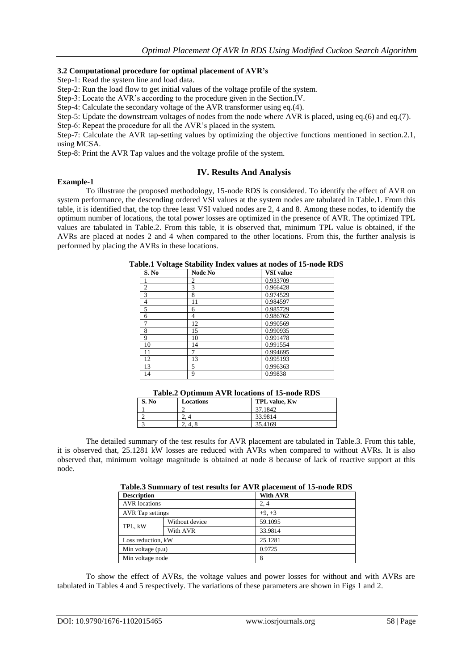## **3.2 Computational procedure for optimal placement of AVR's**

Step-1: Read the system line and load data.

Step-2: Run the load flow to get initial values of the voltage profile of the system.

Step-3: Locate the AVR"s according to the procedure given in the Section.IV.

Step-4: Calculate the secondary voltage of the AVR transformer using eq.(4).

Step-5: Update the downstream voltages of nodes from the node where AVR is placed, using eq.(6) and eq.(7).

Step-6: Repeat the procedure for all the AVR's placed in the system.

Step-7: Calculate the AVR tap-setting values by optimizing the objective functions mentioned in section.2.1, using MCSA.

Step-8: Print the AVR Tap values and the voltage profile of the system.

## **IV. Results And Analysis**

#### **Example-1**

To illustrate the proposed methodology, 15-node RDS is considered. To identify the effect of AVR on system performance, the descending ordered VSI values at the system nodes are tabulated in Table.1. From this table, it is identified that, the top three least VSI valued nodes are 2, 4 and 8. Among these nodes, to identify the optimum number of locations, the total power losses are optimized in the presence of AVR. The optimized TPL values are tabulated in Table.2. From this table, it is observed that, minimum TPL value is obtained, if the AVRs are placed at nodes 2 and 4 when compared to the other locations. From this, the further analysis is performed by placing the AVRs in these locations.

| S. No          | <b>Node No</b> | <b>VSI</b> value |
|----------------|----------------|------------------|
|                | $\mathfrak{D}$ | 0.933709         |
| $\mathfrak{2}$ | 3              | 0.966428         |
| 3              | 8              | 0.974529         |
| 4              | 11             | 0.984597         |
| 5              | 6              | 0.985729         |
| 6              | 4              | 0.986762         |
| 7              | 12             | 0.990569         |
| 8              | 15             | 0.990935         |
| 9              | 10             | 0.991478         |
| 10             | 14             | 0.991554         |
| <u>11</u>      |                | 0.994695         |
| 12             | 13             | 0.995193         |
| 13             | 5              | 0.996363         |
| 14             | 9              | 0.99838          |

|  |  |  | Table.1 Voltage Stability Index values at nodes of 15-node RDS |  |  |  |  |  |  |  |
|--|--|--|----------------------------------------------------------------|--|--|--|--|--|--|--|
|--|--|--|----------------------------------------------------------------|--|--|--|--|--|--|--|

|  | Table.2 Optimum AVR locations of 15-node RDS |
|--|----------------------------------------------|
|  |                                              |

| 37.1842<br>33.9814 |  |
|--------------------|--|
|                    |  |
| ـ.                 |  |
| 35.4169            |  |

The detailed summary of the test results for AVR placement are tabulated in Table.3. From this table, it is observed that, 25.1281 kW losses are reduced with AVRs when compared to without AVRs. It is also observed that, minimum voltage magnitude is obtained at node 8 because of lack of reactive support at this node.

|                      | Table. Summary of test results for A v K placement of 13-hour KDS |                 |  |  |
|----------------------|-------------------------------------------------------------------|-----------------|--|--|
| <b>Description</b>   |                                                                   | <b>With AVR</b> |  |  |
| <b>AVR</b> locations |                                                                   | 2.4             |  |  |
| AVR Tap settings     |                                                                   | $+9. +3$        |  |  |
| TPL, kW              | Without device                                                    | 59.1095         |  |  |
|                      | With AVR                                                          | 33.9814         |  |  |
| Loss reduction, kW   |                                                                   | 25.1281         |  |  |
| Min voltage $(p.u)$  |                                                                   | 0.9725          |  |  |

**Table.3 Summary of test results for AVR placement of 15-node RDS**

To show the effect of AVRs, the voltage values and power losses for without and with AVRs are tabulated in Tables 4 and 5 respectively. The variations of these parameters are shown in Figs 1 and 2.

Min voltage node 8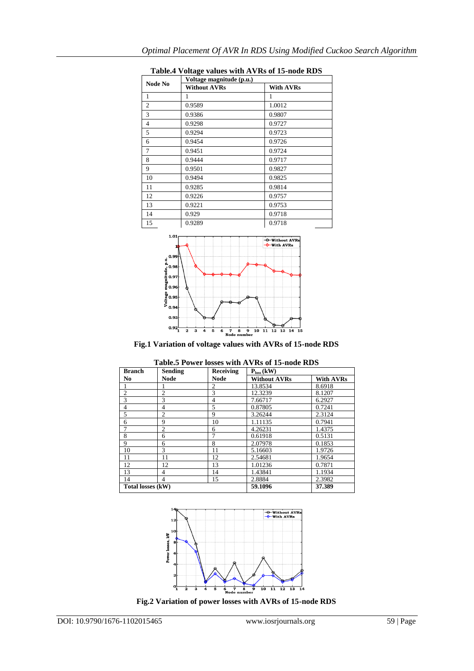|                | Voltage magnitude (p.u.) |                  |  |  |
|----------------|--------------------------|------------------|--|--|
| <b>Node No</b> | <b>Without AVRs</b>      | <b>With AVRs</b> |  |  |
| 1              | 1                        | 1                |  |  |
| $\overline{c}$ | 0.9589                   | 1.0012           |  |  |
| 3              | 0.9386                   | 0.9807           |  |  |
| $\overline{4}$ | 0.9298                   | 0.9727           |  |  |
| 5              | 0.9294                   | 0.9723           |  |  |
| 6              | 0.9454                   | 0.9726           |  |  |
| 7              | 0.9451                   | 0.9724           |  |  |
| 8              | 0.9444                   | 0.9717           |  |  |
| 9              | 0.9501                   | 0.9827           |  |  |
| 10             | 0.9494                   | 0.9825           |  |  |
| 11             | 0.9285                   | 0.9814           |  |  |
| 12             | 0.9226                   | 0.9757           |  |  |
| 13             | 0.9221                   | 0.9753           |  |  |
| 14             | 0.929                    | 0.9718           |  |  |
| 15             | 0.9289                   | 0.9718           |  |  |

**Table.4 Voltage values with AVRs of 15-node RDS**



**Fig.1 Variation of voltage values with AVRs of 15-node RDS**

| Table.5 Power losses with AVRs of 15-node RDS |                |                  |                     |                  |
|-----------------------------------------------|----------------|------------------|---------------------|------------------|
| <b>Branch</b>                                 | <b>Sending</b> | <b>Receiving</b> | $Ploss$ (kW)        |                  |
| No.                                           | Node           | Node             | <b>Without AVRs</b> | <b>With AVRs</b> |
|                                               |                | $\mathfrak{D}$   | 13.8534             | 8.6918           |
| $\overline{c}$                                | $\overline{2}$ | 3                | 12.3239             | 8.1207           |
| 3                                             | 3              | 4                | 7.66717             | 6.2927           |
| $\overline{4}$                                | 4              | 5                | 0.87805             | 0.7241           |
| 5                                             | $\overline{c}$ | 9                | 3.26244             | 2.3124           |
| 6                                             | 9              | 10               | 1.11135             | 0.7941           |
| 7                                             | $\overline{c}$ | 6                | 4.26231             | 1.4375           |
| 8                                             | 6              |                  | 0.61918             | 0.5131           |
| 9                                             | 6              | 8                | 2.07978             | 0.1853           |
| 10                                            | 3              | 11               | 5.16603             | 1.9726           |
| 11                                            | 11             | 12               | 2.54681             | 1.9654           |
| 12                                            | 12             | 13               | 1.01236             | 0.7871           |
| 13                                            | 4              | 14               | 1.43841             | 1.1934           |
| 14                                            | 4              | 15               | 2.8884              | 2.3982           |
| Total losses (kW)                             |                |                  | 59.1096             | 37.389           |



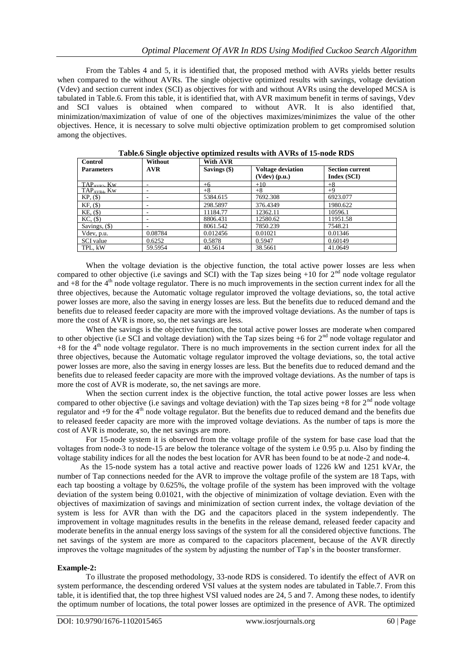From the Tables 4 and 5, it is identified that, the proposed method with AVRs yields better results when compared to the without AVRs. The single objective optimized results with savings, voltage deviation (Vdev) and section current index (SCI) as objectives for with and without AVRs using the developed MCSA is tabulated in Table.6. From this table, it is identified that, with AVR maximum benefit in terms of savings, Vdev and SCI values is obtained when compared to without AVR. It is also identified that, minimization/maximization of value of one of the objectives maximizes/minimizes the value of the other objectives. Hence, it is necessary to solve multi objective optimization problem to get compromised solution among the objectives.

| Control                  | Without    | With AVR     |                                             |                                       |
|--------------------------|------------|--------------|---------------------------------------------|---------------------------------------|
| <b>Parameters</b>        | <b>AVR</b> | Savings (\$) | <b>Voltage deviation</b><br>$(Vdev)$ (p.u.) | <b>Section current</b><br>Index (SCI) |
| $TAP_{AVP2}$ Kw          |            | $+6$         | $+10$                                       | $+8$                                  |
| TAP <sub>AVR4</sub> , Kw | ۰.         | $+8$         | $+8$                                        | $+9$                                  |
| $KP, (\$)$               |            | 5384.615     | 7692.308                                    | 6923.077                              |
| $KF, (\$)$               | ۰          | 298.5897     | 376.4349                                    | 1980.622                              |
| KE, (\$)                 |            | 11184.77     | 12362.11                                    | 10596.1                               |
| $KC, (\$)$               |            | 8806.431     | 12580.62                                    | 11951.58                              |
| Savings, $($ \$ $)$      |            | 8061.542     | 7850.239                                    | 7548.21                               |
| Vdev, p.u.               | 0.08784    | 0.012456     | 0.01021                                     | 0.01346                               |
| <b>SCI</b> value         | 0.6252     | 0.5878       | 0.5947                                      | 0.60149                               |
| TPL. kW                  | 59.5954    | 40.5614      | 38.5661                                     | 41.0649                               |

**Table.6 Single objective optimized results with AVRs of 15-node RDS**

When the voltage deviation is the objective function, the total active power losses are less when compared to other objective (i.e savings and SCI) with the Tap sizes being  $+10$  for  $2<sup>nd</sup>$  node voltage regulator and  $+8$  for the  $4<sup>th</sup>$  node voltage regulator. There is no much improvements in the section current index for all the three objectives, because the Automatic voltage regulator improved the voltage deviations, so, the total active power losses are more, also the saving in energy losses are less. But the benefits due to reduced demand and the benefits due to released feeder capacity are more with the improved voltage deviations. As the number of taps is more the cost of AVR is more, so, the net savings are less.

When the savings is the objective function, the total active power losses are moderate when compared to other objective (i.e SCI and voltage deviation) with the Tap sizes being  $+6$  for  $2<sup>nd</sup>$  node voltage regulator and +8 for the 4<sup>th</sup> node voltage regulator. There is no much improvements in the section current index for all the three objectives, because the Automatic voltage regulator improved the voltage deviations, so, the total active power losses are more, also the saving in energy losses are less. But the benefits due to reduced demand and the benefits due to released feeder capacity are more with the improved voltage deviations. As the number of taps is more the cost of AVR is moderate, so, the net savings are more.

When the section current index is the objective function, the total active power losses are less when compared to other objective (i.e savings and voltage deviation) with the Tap sizes being  $+8$  for  $2<sup>nd</sup>$  node voltage regulator and  $+9$  for the  $4<sup>th</sup>$  node voltage regulator. But the benefits due to reduced demand and the benefits due to released feeder capacity are more with the improved voltage deviations. As the number of taps is more the cost of AVR is moderate, so, the net savings are more.

For 15-node system it is observed from the voltage profile of the system for base case load that the voltages from node-3 to node-15 are below the tolerance voltage of the system i.e 0.95 p.u. Also by finding the voltage stability indices for all the nodes the best location for AVR has been found to be at node-2 and node-4.

As the 15-node system has a total active and reactive power loads of 1226 kW and 1251 kVAr, the number of Tap connections needed for the AVR to improve the voltage profile of the system are 18 Taps, with each tap boosting a voltage by 0.625%, the voltage profile of the system has been improved with the voltage deviation of the system being 0.01021, with the objective of minimization of voltage deviation. Even with the objectives of maximization of savings and minimization of section current index, the voltage deviation of the system is less for AVR than with the DG and the capacitors placed in the system independently. The improvement in voltage magnitudes results in the benefits in the release demand, released feeder capacity and moderate benefits in the annual energy loss savings of the system for all the considered objective functions. The net savings of the system are more as compared to the capacitors placement, because of the AVR directly improves the voltage magnitudes of the system by adjusting the number of Tap"s in the booster transformer.

## **Example-2:**

To illustrate the proposed methodology, 33-node RDS is considered. To identify the effect of AVR on system performance, the descending ordered VSI values at the system nodes are tabulated in Table.7. From this table, it is identified that, the top three highest VSI valued nodes are 24, 5 and 7. Among these nodes, to identify the optimum number of locations, the total power losses are optimized in the presence of AVR. The optimized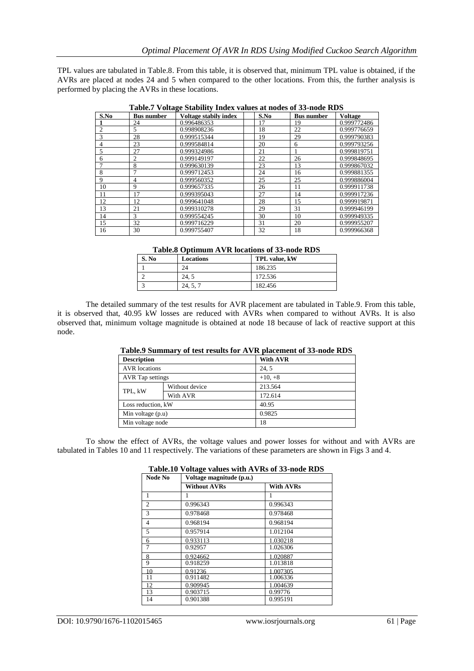TPL values are tabulated in Table.8. From this table, it is observed that, minimum TPL value is obtained, if the AVRs are placed at nodes 24 and 5 when compared to the other locations. From this, the further analysis is performed by placing the AVRs in these locations.

| Table? Tollage Diability Thues Talues at hours of 33-hour KDD |                   |                              |      |                   |                |
|---------------------------------------------------------------|-------------------|------------------------------|------|-------------------|----------------|
| S.No                                                          | <b>Bus number</b> | <b>Voltage stabily index</b> | S.No | <b>Bus number</b> | <b>Voltage</b> |
|                                                               | 24                | 0.996486353                  | 17   | 19                | 0.999772486    |
| $\overline{2}$                                                | 5                 | 0.998908236                  | 18   | 22                | 0.999776659    |
| 3                                                             | 28                | 0.999515344                  | 19   | 29                | 0.999790383    |
| $\overline{4}$                                                | 23                | 0.999584814                  | 20   | 6                 | 0.999793256    |
| 5                                                             | 27                | 0.999324986                  | 21   |                   | 0.999819751    |
| 6                                                             | 2                 | 0.999149197                  | 22   | 26                | 0.999848695    |
| $\overline{7}$                                                | 8                 | 0.999630139                  | 23   | 13                | 0.999867032    |
| 8                                                             | 7                 | 0.999712453                  | 24   | 16                | 0.999881355    |
| 9                                                             | 4                 | 0.999560352                  | 25   | 25                | 0.999886004    |
| 10                                                            | 9                 | 0.999657335                  | 26   | 11                | 0.999911738    |
| 11                                                            | 17                | 0.999395043                  | 27   | 14                | 0.999917236    |
| 12                                                            | 12                | 0.999641048                  | 28   | 15                | 0.999919871    |
| 13                                                            | 21                | 0.999310278                  | 29   | 31                | 0.999946199    |
| 14                                                            | 3                 | 0.999554245                  | 30   | 10                | 0.999949335    |
| 15                                                            | 32                | 0.999716229                  | 31   | 20                | 0.999955207    |
| 16                                                            | 30                | 0.999755407                  | 32   | 18                | 0.999966368    |

**Table.7 Voltage Stability Index values at nodes of 33-node RDS**

## **Table.8 Optimum AVR locations of 33-node RDS**

| S. No | Locations | TPL value, kW |
|-------|-----------|---------------|
|       | 24        | 186.235       |
|       | 24.5      | 172.536       |
|       | 24, 5, 7  | 182.456       |

The detailed summary of the test results for AVR placement are tabulated in Table.9. From this table, it is observed that, 40.95 kW losses are reduced with AVRs when compared to without AVRs. It is also observed that, minimum voltage magnitude is obtained at node 18 because of lack of reactive support at this node.

| Table. Summary of test results for AVR placement of 33-node RDS |                |                 |  |
|-----------------------------------------------------------------|----------------|-----------------|--|
| <b>Description</b>                                              |                | <b>With AVR</b> |  |
| <b>AVR</b> locations                                            |                | 24.5            |  |
| <b>AVR</b> Tap settings                                         |                | $+10, +8$       |  |
| TPL. kW                                                         | Without device | 213.564         |  |
|                                                                 | With AVR       | 172.614         |  |
| Loss reduction, kW                                              |                | 40.95           |  |
| Min voltage (p.u)                                               |                | 0.9825          |  |
| Min voltage node                                                |                | 18              |  |

## **Table.9 Summary of test results for AVR placement of 33-node RDS**

To show the effect of AVRs, the voltage values and power losses for without and with AVRs are tabulated in Tables 10 and 11 respectively. The variations of these parameters are shown in Figs 3 and 4.

| Node No        | $\cdots$<br>Voltage magnitude (p.u.) |                  |  |
|----------------|--------------------------------------|------------------|--|
|                | <b>Without AVRs</b>                  | <b>With AVRs</b> |  |
| $\overline{1}$ |                                      |                  |  |
| $\overline{2}$ | 0.996343                             | 0.996343         |  |
| $\overline{3}$ | 0.978468                             | 0.978468         |  |
| $\overline{4}$ | 0.968194                             | 0.968194         |  |
| 5              | 0.957914                             | 1.012104         |  |
| 6              | 0.933113                             | 1.030218         |  |
| $\overline{7}$ | 0.92957                              | 1.026306         |  |
| 8              | 0.924662                             | 1.020887         |  |
| 9              | 0.918259                             | 1.013818         |  |
| 10             | 0.91236                              | 1.007305         |  |
| 11             | 0.911482                             | 1.006336         |  |
| 12             | 0.909945                             | 1.004639         |  |
| 13             | 0.903715                             | 0.99776          |  |
| 14             | 0.901388                             | 0.995191         |  |

**Table.10 Voltage values with AVRs of 33-node RDS**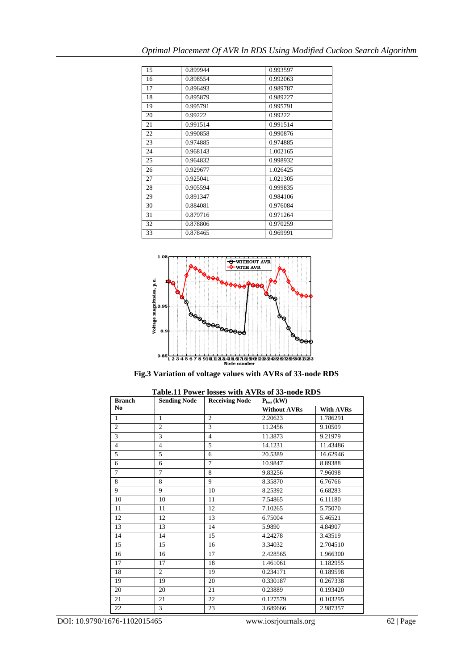| 15 | 0.899944 | 0.993597 |
|----|----------|----------|
| 16 | 0.898554 | 0.992063 |
| 17 | 0.896493 | 0.989787 |
| 18 | 0.895879 | 0.989227 |
| 19 | 0.995791 | 0.995791 |
| 20 | 0.99222  | 0.99222  |
| 21 | 0.991514 | 0.991514 |
| 22 | 0.990858 | 0.990876 |
| 23 | 0.974885 | 0.974885 |
| 24 | 0.968143 | 1.002165 |
| 25 | 0.964832 | 0.998932 |
| 26 | 0.929677 | 1.026425 |
| 27 | 0.925041 | 1.021305 |
| 28 | 0.905594 | 0.999835 |
| 29 | 0.891347 | 0.984106 |
| 30 | 0.884081 | 0.976084 |
| 31 | 0.879716 | 0.971264 |
| 32 | 0.878806 | 0.970259 |
| 33 | 0.878465 | 0.969991 |



**Fig.3 Variation of voltage values with AVRs of 33-node RDS**

| <b>Branch</b>  | <b>Sending Node</b> | <b>Receiving Node</b> | $\mathbf{P}_{loss}\left(\mathbf{kW}\right)$ |                  |
|----------------|---------------------|-----------------------|---------------------------------------------|------------------|
| N <sub>0</sub> |                     |                       | <b>Without AVRs</b>                         | <b>With AVRs</b> |
| $\mathbf{1}$   | $\mathbf{1}$        | $\overline{2}$        | 2.20623                                     | 1.786291         |
| $\mathbf{2}$   | $\overline{c}$      | 3                     | 11.2456                                     | 9.10509          |
| 3              | 3                   | $\overline{4}$        | 11.3873                                     | 9.21979          |
| $\overline{4}$ | $\overline{4}$      | 5                     | 14.1231                                     | 11.43486         |
| 5              | 5                   | 6                     | 20.5389                                     | 16.62946         |
| 6              | 6                   | $\overline{7}$        | 10.9847                                     | 8.89388          |
| $\tau$         | $\tau$              | 8                     | 9.83256                                     | 7.96098          |
| 8              | 8                   | 9                     | 8.35870                                     | 6.76766          |
| 9              | 9                   | 10                    | 8.25392                                     | 6.68283          |
| 10             | 10                  | 11                    | 7.54865                                     | 6.11180          |
| 11             | 11                  | 12                    | 7.10265                                     | 5.75070          |
| 12             | 12                  | 13                    | 6.75004                                     | 5.46521          |
| 13             | 13                  | 14                    | 5.9890                                      | 4.84907          |
| 14             | 14                  | 15                    | 4.24278                                     | 3.43519          |
| 15             | 15                  | 16                    | 3.34032                                     | 2.704510         |
| 16             | 16                  | 17                    | 2.428565                                    | 1.966300         |
| 17             | 17                  | 18                    | 1.461061                                    | 1.182955         |
| 18             | $\mathfrak{2}$      | 19                    | 0.234171                                    | 0.189598         |
| 19             | 19                  | 20                    | 0.330187                                    | 0.267338         |
| 20             | 20                  | 21                    | 0.23889                                     | 0.193420         |
| 21             | 21                  | 22                    | 0.127579                                    | 0.103295         |
| 22             | 3                   | 23                    | 3.689666                                    | 2.987357         |

**Table.11 Power losses with AVRs of 33-node RDS**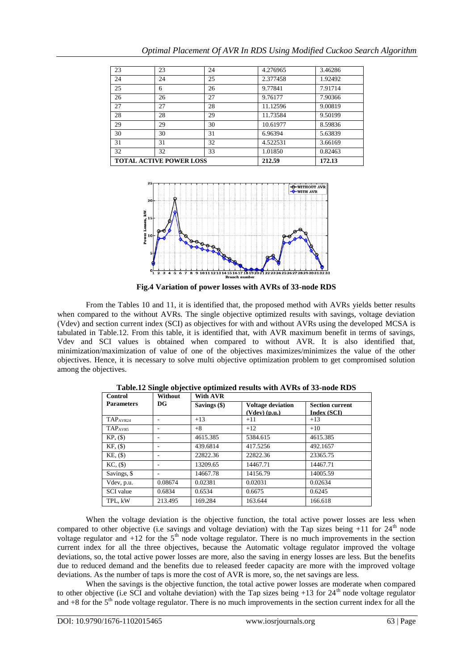| <b>TOTAL ACTIVE POWER LOSS</b> |    |    | 212.59   | 172.13  |
|--------------------------------|----|----|----------|---------|
| 32                             | 32 | 33 | 1.01850  | 0.82463 |
| 31                             | 31 | 32 | 4.522531 | 3.66169 |
| 30                             | 30 | 31 | 6.96394  | 5.63839 |
| 29                             | 29 | 30 | 10.61977 | 8.59836 |
| 28                             | 28 | 29 | 11.73584 | 9.50199 |
| 27                             | 27 | 28 | 11.12596 | 9.00819 |
| 26                             | 26 | 27 | 9.76177  | 7.90366 |
| 25                             | 6  | 26 | 9.77841  | 7.91714 |
| 24                             | 24 | 25 | 2.377458 | 1.92492 |
| 23                             | 23 | 24 | 4.276965 | 3.46286 |



**Fig.4 Variation of power losses with AVRs of 33-node RDS**

From the Tables 10 and 11, it is identified that, the proposed method with AVRs yields better results when compared to the without AVRs. The single objective optimized results with savings, voltage deviation (Vdev) and section current index (SCI) as objectives for with and without AVRs using the developed MCSA is tabulated in Table.12. From this table, it is identified that, with AVR maximum benefit in terms of savings, Vdev and SCI values is obtained when compared to without AVR. It is also identified that, minimization/maximization of value of one of the objectives maximizes/minimizes the value of the other objectives. Hence, it is necessary to solve multi objective optimization problem to get compromised solution among the objectives.

| Control           | Without<br>$_{\rm DG}$ | <b>With AVR</b> |                                             |                                       |  |
|-------------------|------------------------|-----------------|---------------------------------------------|---------------------------------------|--|
| <b>Parameters</b> |                        | Savings (\$)    | <b>Voltage deviation</b><br>$(Vdev)$ (p.u.) | <b>Section current</b><br>Index (SCI) |  |
| TAPAVR24          | ۰                      | $+13$           | $+11$                                       | $+13$                                 |  |
| TAPAVR5           | ٠                      | $+8$            | $+12$                                       | $+10$                                 |  |
| $KP, (\$)$        | ٠                      | 4615.385        | 5384.615                                    | 4615.385                              |  |
| $KF, (\$)$        | ٠                      | 439.6814        | 417.5256                                    | 492.1657                              |  |
| $KE,$ $(\$)$      | ٠                      | 22822.36        | 22822.36                                    | 23365.75                              |  |
| $KC, (\$)$        | ٠                      | 13209.65        | 14467.71                                    | 14467.71                              |  |
| Savings, \$       | ۰                      | 14667.78        | 14156.79                                    | 14005.59                              |  |
| Vdev, p.u.        | 0.08674                | 0.02381         | 0.02031                                     | 0.02634                               |  |
| <b>SCI</b> value  | 0.6834                 | 0.6534          | 0.6675                                      | 0.6245                                |  |
| TPL. kW           | 213.495                | 169.284         | 163.644                                     | 166.618                               |  |

**Table.12 Single objective optimized results with AVRs of 33-node RDS**

When the voltage deviation is the objective function, the total active power losses are less when compared to other objective (i.e savings and voltage deviation) with the Tap sizes being  $+11$  for  $24<sup>th</sup>$  node voltage regulator and  $+12$  for the 5<sup>th</sup> node voltage regulator. There is no much improvements in the section current index for all the three objectives, because the Automatic voltage regulator improved the voltage deviations, so, the total active power losses are more, also the saving in energy losses are less. But the benefits due to reduced demand and the benefits due to released feeder capacity are more with the improved voltage deviations. As the number of taps is more the cost of AVR is more, so, the net savings are less.

When the savings is the objective function, the total active power losses are moderate when compared to other objective (i.e SCI and voltahe deviation) with the Tap sizes being  $+13$  for  $24<sup>th</sup>$  node voltage regulator and  $+8$  for the  $5<sup>th</sup>$  node voltage regulator. There is no much improvements in the section current index for all the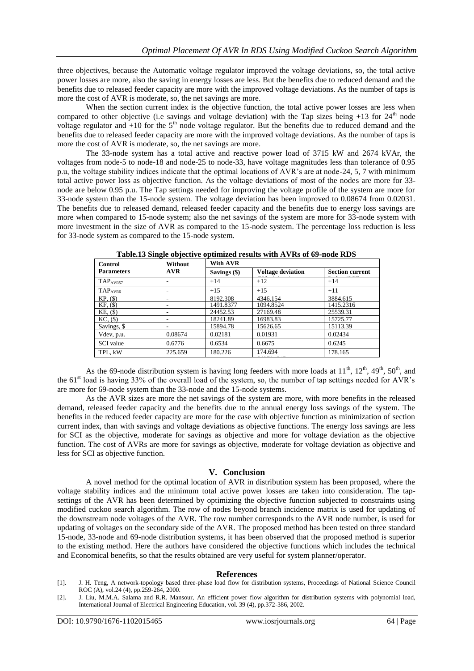three objectives, because the Automatic voltage regulator improved the voltage deviations, so, the total active power losses are more, also the saving in energy losses are less. But the benefits due to reduced demand and the benefits due to released feeder capacity are more with the improved voltage deviations. As the number of taps is more the cost of AVR is moderate, so, the net savings are more.

When the section current index is the objective function, the total active power losses are less when compared to other objective (i.e savings and voltage deviation) with the Tap sizes being  $+13$  for  $24<sup>th</sup>$  node voltage regulator and  $+10$  for the  $5<sup>th</sup>$  node voltage regulator. But the benefits due to reduced demand and the benefits due to released feeder capacity are more with the improved voltage deviations. As the number of taps is more the cost of AVR is moderate, so, the net savings are more.

The 33-node system has a total active and reactive power load of 3715 kW and 2674 kVAr, the voltages from node-5 to node-18 and node-25 to node-33, have voltage magnitudes less than tolerance of 0.95 p.u, the voltage stability indices indicate that the optimal locations of AVR's are at node-24, 5, 7 with minimum total active power loss as objective function. As the voltage deviations of most of the nodes are more for 33 node are below 0.95 p.u. The Tap settings needed for improving the voltage profile of the system are more for 33-node system than the 15-node system. The voltage deviation has been improved to 0.08674 from 0.02031. The benefits due to released demand, released feeder capacity and the benefits due to energy loss savings are more when compared to 15-node system; also the net savings of the system are more for 33-node system with more investment in the size of AVR as compared to the 15-node system. The percentage loss reduction is less for 33-node system as compared to the 15-node system.

| Control              | Without<br><b>AVR</b> | With AVR     |                          |                        |
|----------------------|-----------------------|--------------|--------------------------|------------------------|
| <b>Parameters</b>    |                       | Savings (\$) | <b>Voltage deviation</b> | <b>Section current</b> |
| TAP <sub>AVR57</sub> |                       | $+14$        | $+12$                    | $+14$                  |
| TAP <sub>AVR6</sub>  |                       | $+15$        | $+15$                    | $+11$                  |
| $KP. (\$)$           |                       | 8192.308     | 4346.154                 | 3884.615               |
| $KF, (\$)$           |                       | 1491.8377    | 1094.8524                | 1415.2316              |
| $KE,$ $(\$)$         |                       | 24452.53     | 27169.48                 | 25539.31               |
| $KC, $(\$)$          | ۰                     | 18241.89     | 16983.83                 | 15725.77               |
| Savings, \$          |                       | 15894.78     | 15626.65                 | 15113.39               |
| Vdev, p.u.           | 0.08674               | 0.02181      | 0.01931                  | 0.02434                |
| <b>SCI</b> value     | 0.6776                | 0.6534       | 0.6675                   | 0.6245                 |
| TPL, kW              | 225.659               | 180.226      | 174.694                  | 178.165                |
|                      |                       |              |                          |                        |

**Table.13 Single objective optimized results with AVRs of 69-node RDS**

As the 69-node distribution system is having long feeders with more loads at  $11^{th}$ ,  $12^{th}$ ,  $49^{th}$ ,  $50^{th}$ , and the  $61<sup>st</sup>$  load is having 33% of the overall load of the system, so, the number of tap settings needed for AVR's are more for 69-node system than the 33-node and the 15-node systems.

As the AVR sizes are more the net savings of the system are more, with more benefits in the released demand, released feeder capacity and the benefits due to the annual energy loss savings of the system. The benefits in the reduced feeder capacity are more for the case with objective function as minimization of section current index, than with savings and voltage deviations as objective functions. The energy loss savings are less for SCI as the objective, moderate for savings as objective and more for voltage deviation as the objective function. The cost of AVRs are more for savings as objective, moderate for voltage deviation as objective and less for SCI as objective function.

## **V. Conclusion**

A novel method for the optimal location of AVR in distribution system has been proposed, where the voltage stability indices and the minimum total active power losses are taken into consideration. The tapsettings of the AVR has been determined by optimizing the objective function subjected to constraints using modified cuckoo search algorithm. The row of nodes beyond branch incidence matrix is used for updating of the downstream node voltages of the AVR. The row number corresponds to the AVR node number, is used for updating of voltages on the secondary side of the AVR. The proposed method has been tested on three standard 15-node, 33-node and 69-node distribution systems, it has been observed that the proposed method is superior to the existing method. Here the authors have considered the objective functions which includes the technical and Economical benefits, so that the results obtained are very useful for system planner/operator.

#### **References**

[1]. J. H. Teng, A network-topology based three-phase load flow for distribution systems, Proceedings of National Science Council ROC (A), vol.24 (4), pp.259-264, 2000.

<sup>[2].</sup> J. Liu, M.M.A. Salama and R.R. Mansour, An efficient power flow algorithm for distribution systems with polynomial load, International Journal of Electrical Engineering Education, vol. 39 (4), pp.372-386, 2002.